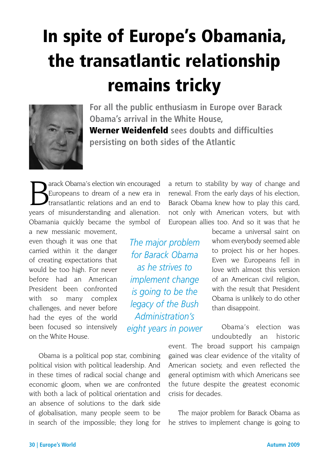# In spite of Europe's Obamania, the transatlantic relationship remains tricky



**For all the public enthusiasm in Europe over Barack Obama's arrival in the White House,**  Werner Weidenfeld **sees doubts and difficulties persisting on both sides of the Atlantic**

arack Obama's election win encouraged Europeans to dream of a new era in transatlantic relations and an end to years of misunderstanding and alienation. Obamania quickly became the symbol of

a new messianic movement, even though it was one that carried within it the danger of creating expectations that would be too high. For never before had an American President been confronted with so many complex challenges, and never before had the eyes of the world been focused so intensively on the White House.

Obama is a political pop star, combining political vision with political leadership. And in these times of radical social change and economic gloom, when we are confronted with both a lack of political orientation and an absence of solutions to the dark side of globalisation, many people seem to be in search of the impossible; they long for a return to stability by way of change and renewal. From the early days of his election, Barack Obama knew how to play this card, not only with American voters, but with European allies too. And so it was that he

*The major problem for Barack Obama as he strives to implement change is going to be the legacy of the Bush Administration's eight years in power* became a universal saint on whom everybody seemed able to project his or her hopes. Even we Europeans fell in love with almost this version of an American civil religion, with the result that President Obama is unlikely to do other than disappoint.

Obama's election was undoubtedly an historic

event. The broad support his campaign gained was clear evidence of the vitality of American society, and even reflected the general optimism with which Americans see the future despite the greatest economic crisis for decades.

The major problem for Barack Obama as he strives to implement change is going to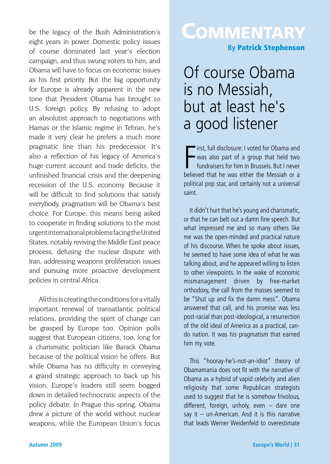be the legacy of the Bush Administration's eight years in power. Domestic policy issues of course dominated last year's election campaign, and thus swung voters to him, and Obama will have to focus on economic issues as his first priority. But the big opportunity for Europe is already apparent in the new tone that President Obama has brought to U.S. foreign policy. By refusing to adopt an absolutist approach to negotiations with Hamas or the Islamic regime in Tehran, he's made it very clear he prefers a much more pragmatic line than his predecessor. It's also a reflection of his legacy of America's huge current account and trade deficits, the unfinished financial crisis and the deepening recession of the U.S. economy. Because it will be difficult to find solutions that satisfy everybody, pragmatism will be Obama's best choice. For Europe, this means being asked to cooperate in finding solutions to the most urgent international problems facing the United States, notably reviving the Middle East peace process, defusing the nuclear dispute with Iran, addressing weapons proliferation issues and pursuing more proactive development policies in central Africa.

All this is creating the conditions for a vitally important renewal of transatlantic political relations, providing the spirit of change can be grasped by Europe too. Opinion polls suggest that European citizens, too, long for a charismatic politician like Barack Obama because of the political vision he offers. But while Obama has no difficulty in conveying a grand strategic approach to back up his vision, Europe's leaders still seem bogged down in detailed technocratic aspects of the policy debate. In Prague this spring, Obama drew a picture of the world without nuclear weapons, while the European Union's focus

## **COMMENTARY**

**By** Patrick Stephenson

#### Of course Obama is no Messiah, but at least he's a good listener

First, full disclosure: I voted for Obama and<br>was also part of a group that held two<br>fundraisers for him in Brussels. But I never<br>believed that he was either the Messiah or a irst, full disclosure: I voted for Obama and was also part of a group that held two fundraisers for him in Brussels. But I never political pop star, and certainly not a universal saint.

It didn't hurt that he's young and charismatic, or that he can belt out a damn fine speech. But what impressed me and so many others like me was the open-minded and practical nature of his discourse. When he spoke about issues, he seemed to have some idea of what he was talking about, and he appeared willing to listen to other viewpoints. In the wake of economic mismanagement driven by free-market orthodoxy, the call from the masses seemed to be "Shut up and fix the damn mess". Obama answered that call, and his promise was less post-racial than post-ideological, a resurrection of the old ideal of America as a practical, cando nation. It was his pragmatism that earned him my vote.

This "hooray-he's-not-an-idiot" theory of Obamamania does not fit with the narrative of Obama as a hybrid of vapid celebrity and alien religiosity that some Republican strategists used to suggest that he is somehow frivolous, different, foreign, unholy, even – dare one say it – un-American. And it is this narrative that leads Werner Weidenfeld to overestimate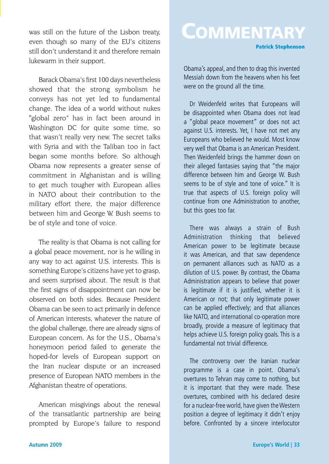was still on the future of the Lisbon treaty, even though so many of the EU's citizens still don't understand it and therefore remain lukewarm in their support.

Barack Obama's first 100 days nevertheless showed that the strong symbolism he conveys has not yet led to fundamental change. The idea of a world without nukes "global zero" has in fact been around in Washington DC for quite some time, so that wasn't really very new. The secret talks with Syria and with the Taliban too in fact began some months before. So although Obama now represents a greater sense of commitment in Afghanistan and is willing to get much tougher with European allies in NATO about their contribution to the military effort there, the major difference between him and George W. Bush seems to be of style and tone of voice.

The reality is that Obama is not calling for a global peace movement, nor is he willing in any way to act against U.S. interests. This is something Europe's citizens have yet to grasp, and seem surprised about. The result is that the first signs of disappointment can now be observed on both sides. Because President Obama can be seen to act primarily in defence of American interests, whatever the nature of the global challenge, there are already signs of European concern. As for the U.S., Obama's honeymoon period failed to generate the hoped-for levels of European support on the Iran nuclear dispute or an increased presence of European NATO members in the Afghanistan theatre of operations.

American misgivings about the renewal of the transatlantic partnership are being prompted by Europe's failure to respond

### **COMMENTARY**

Patrick Stephenson

Obama's appeal, and then to drag this invented Messiah down from the heavens when his feet were on the ground all the time.

Dr Weidenfeld writes that Europeans will be disappointed when Obama does not lead a "global peace movement" or does not act against U.S. interests. Yet, I have not met any Europeans who believed he would. Most know very well that Obama is an American President. Then Weidenfeld brings the hammer down on their alleged fantasies saying that "the major difference between him and George W. Bush seems to be of style and tone of voice." It is true that aspects of U.S. foreign policy will continue from one Administration to another, but this goes too far.

There was always a strain of Bush Administration thinking that believed American power to be legitimate because it was American, and that saw dependence on permanent alliances such as NATO as a dilution of U.S. power. By contrast, the Obama Administration appears to believe that power is legitimate if it is justified, whether it is American or not; that only legitimate power can be applied effectively; and that alliances like NATO, and international co-operation more broadly, provide a measure of legitimacy that helps achieve U.S. foreign policy goals. This is a fundamental not trivial difference.

The controversy over the Iranian nuclear programme is a case in point. Obama's overtures to Tehran may come to nothing, but it is important that they were made. These overtures, combined with his declared desire for a nuclear-free world, have given the Western position a degree of legitimacy it didn't enjoy before. Confronted by a sincere interlocutor